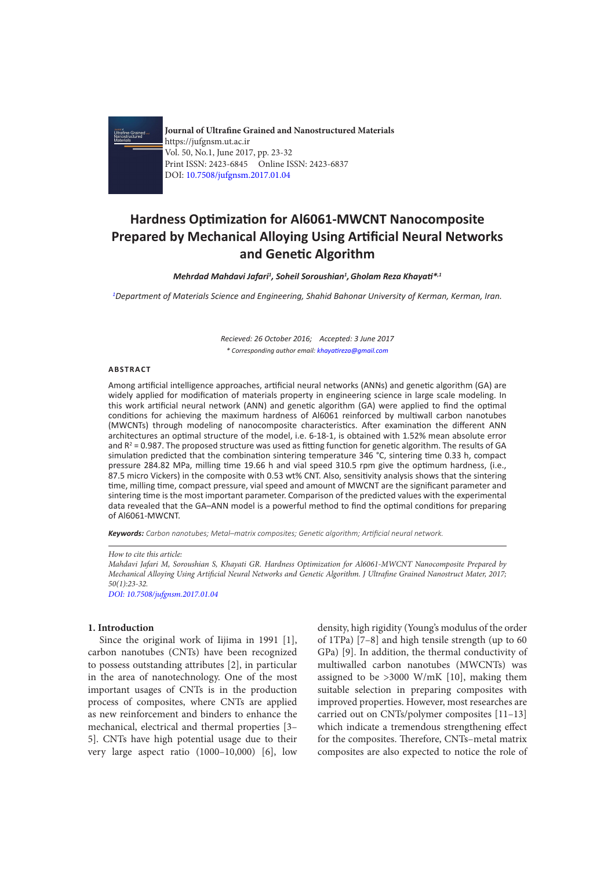

**Journal of Ultrafine Grained and Nanostructured Materials** https://jufgnsm.ut.ac.ir Vol. 50, No.1, June 2017, pp. 23-32 Print ISSN: 2423-6845 Online ISSN: 2423-6837 DOI: 10.7508/jufgnsm.2017.01.04

# **Hardness Optimization for Al6061-MWCNT Nanocomposite Prepared by Mechanical Alloying Using Artificial Neural Networks and Genetic Algorithm**

*Mehrdad Mahdavi Jafari1 , Soheil Soroushian1 ,Gholam Reza Khayati\*,1*

*1 Department of Materials Science and Engineering, Shahid Bahonar University of Kerman, Kerman, Iran.*

*Recieved: 26 October 2016; Accepted: 3 June 2017 \* Corresponding author email: khayatireza@gmail.com*

### **ABSTRACT**

Among artificial intelligence approaches, artificial neural networks (ANNs) and genetic algorithm (GA) are widely applied for modification of materials property in engineering science in large scale modeling. In this work artificial neural network (ANN) and genetic algorithm (GA) were applied to find the optimal conditions for achieving the maximum hardness of Al6061 reinforced by multiwall carbon nanotubes (MWCNTs) through modeling of nanocomposite characteristics. After examination the different ANN architectures an optimal structure of the model, i.e. 6-18-1, is obtained with 1.52% mean absolute error and  $R^2$  = 0.987. The proposed structure was used as fitting function for genetic algorithm. The results of GA simulation predicted that the combination sintering temperature 346 °C, sintering time 0.33 h, compact pressure 284.82 MPa, milling time 19.66 h and vial speed 310.5 rpm give the optimum hardness, (i.e., 87.5 micro Vickers) in the composite with 0.53 wt% CNT. Also, sensitivity analysis shows that the sintering time, milling time, compact pressure, vial speed and amount of MWCNT are the significant parameter and sintering time is the most important parameter. Comparison of the predicted values with the experimental data revealed that the GA–ANN model is a powerful method to find the optimal conditions for preparing of Al6061-MWCNT.

*Keywords: Carbon nanotubes; Metal–matrix composites; Genetic algorithm; Artificial neural network.*

#### *How to cite this article:*

*Mahdavi Jafari M, Soroushian S, Khayati GR. Hardness Optimization for Al6061-MWCNT Nanocomposite Prepared by Mechanical Alloying Using Artificial Neural Networks and Genetic Algorithm. J Ultrafine Grained Nanostruct Mater, 2017; 50(1):23-32.* 

*DOI: 10.7508/jufgnsm.2017.01.04*

#### **1. Introduction**

Since the original work of Iiijma in 1991 [1], carbon nanotubes (CNTs) have been recognized to possess outstanding attributes [2], in particular in the area of nanotechnology. One of the most important usages of CNTs is in the production process of composites, where CNTs are applied as new reinforcement and binders to enhance the mechanical, electrical and thermal properties [3– 5]. CNTs have high potential usage due to their very large aspect ratio (1000–10,000) [6], low

density, high rigidity (Young's modulus of the order of 1TPa) [7–8] and high tensile strength (up to 60 GPa) [9]. In addition, the thermal conductivity of multiwalled carbon nanotubes (MWCNTs) was assigned to be >3000 W/mK [10], making them suitable selection in preparing composites with improved properties. However, most researches are carried out on CNTs/polymer composites [11–13] which indicate a tremendous strengthening effect for the composites. Therefore, CNTs–metal matrix composites are also expected to notice the role of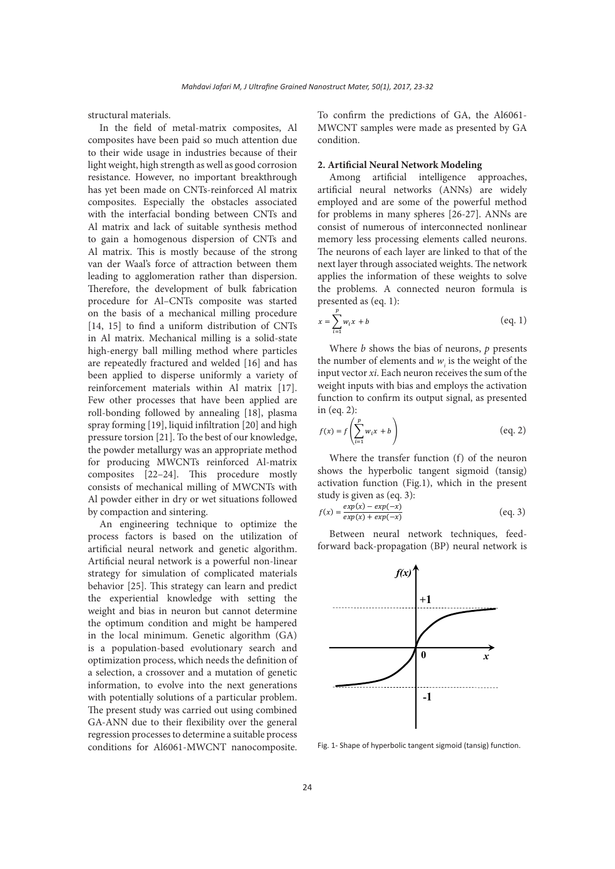structural materials.

In the field of metal-matrix composites, Al composites have been paid so much attention due to their wide usage in industries because of their light weight, high strength as well as good corrosion resistance. However, no important breakthrough has yet been made on CNTs-reinforced Al matrix composites. Especially the obstacles associated with the interfacial bonding between CNTs and Al matrix and lack of suitable synthesis method to gain a homogenous dispersion of CNTs and Al matrix. This is mostly because of the strong van der Waal's force of attraction between them leading to agglomeration rather than dispersion. Therefore, the development of bulk fabrication procedure for Al–CNTs composite was started on the basis of a mechanical milling procedure [14, 15] to find a uniform distribution of CNTs in Al matrix. Mechanical milling is a solid-state high-energy ball milling method where particles are repeatedly fractured and welded [16] and has been applied to disperse uniformly a variety of reinforcement materials within Al matrix [17]. Few other processes that have been applied are roll-bonding followed by annealing [18], plasma spray forming [19], liquid infiltration [20] and high pressure torsion [21]. To the best of our knowledge, the powder metallurgy was an appropriate method for producing MWCNTs reinforced Al-matrix composites [22–24]. This procedure mostly consists of mechanical milling of MWCNTs with Al powder either in dry or wet situations followed by compaction and sintering.

An engineering technique to optimize the process factors is based on the utilization of artificial neural network and genetic algorithm. Artificial neural network is a powerful non-linear strategy for simulation of complicated materials behavior [25]. This strategy can learn and predict the experiential knowledge with setting the weight and bias in neuron but cannot determine the optimum condition and might be hampered in the local minimum. Genetic algorithm (GA) is a population-based evolutionary search and optimization process, which needs the definition of a selection, a crossover and a mutation of genetic information, to evolve into the next generations with potentially solutions of a particular problem. The present study was carried out using combined GA-ANN due to their flexibility over the general regression processes to determine a suitable process conditions for Al6061-MWCNT nanocomposite.

To confirm the predictions of GA, the Al6061- MWCNT samples were made as presented by GA condition.

#### **2. Artificial Neural Network Modeling**

Among artificial intelligence approaches, artificial neural networks (ANNs) are widely employed and are some of the powerful method for problems in many spheres [26-27]. ANNs are consist of numerous of interconnected nonlinear memory less processing elements called neurons. The neurons of each layer are linked to that of the next layer through associated weights. The network applies the information of these weights to solve the problems. A connected neuron formula is presented as (eq. 1):

$$
x = \sum_{i=1}^{p} w_i x + b \tag{eq. 1}
$$

Where *b* shows the bias of neurons, *p* presents the number of elements and  $w_i$  is the weight of the input vector *xi*. Each neuron receives the sum of the weight inputs with bias and employs the activation function to confirm its output signal, as presented in (eq. 2):

$$
f(x) = f\left(\sum_{i=1}^{p} w_i x + b\right) \tag{eq. 2}
$$

Where the transfer function (f) of the neuron shows the hyperbolic tangent sigmoid (tansig) activation function (Fig.1), which in the present study is given as (eq. 3):

$$
f(x) = \frac{\exp(x) - \exp(-x)}{\exp(x) + \exp(-x)}
$$
 (eq. 3)

Between neural network techniques, feedforward back-propagation (BP) neural network is



Fig. 1- Shape of hyperbolic tangent sigmoid (tansig) function.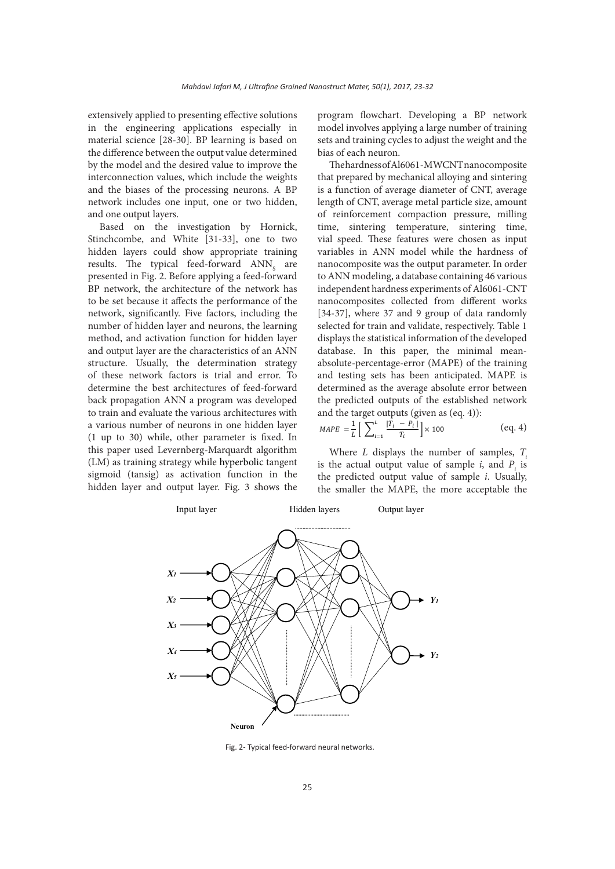extensively applied to presenting effective solutions in the engineering applications especially in material science [28-30]. BP learning is based on the difference between the output value determined by the model and the desired value to improve the interconnection values, which include the weights and the biases of the processing neurons. A BP network includes one input, one or two hidden, and one output layers.

Based on the investigation by Hornick, Stinchcombe, and White [31-33], one to two hidden layers could show appropriate training results. The typical feed-forward  $\text{ANN}_\text{s}$  are presented in Fig. 2. Before applying a feed-forward BP network, the architecture of the network has to be set because it affects the performance of the network, significantly. Five factors, including the number of hidden layer and neurons, the learning method, and activation function for hidden layer and output layer are the characteristics of an ANN structure. Usually, the determination strategy of these network factors is trial and error. To determine the best architectures of feed-forward back propagation ANN a program was developed to train and evaluate the various architectures with a various number of neurons in one hidden layer (1 up to 30) while, other parameter is fixed. In this paper used Levernberg-Marquardt algorithm (LM) as training strategy while hyperbolic tangent sigmoid (tansig) as activation function in the hidden layer and output layer. Fig. 3 shows the

program flowchart. Developing a BP network model involves applying a large number of training sets and training cycles to adjust the weight and the bias of each neuron.

The hardness of Al6061-MWCNT nanocomposite that prepared by mechanical alloying and sintering is a function of average diameter of CNT, average length of CNT, average metal particle size, amount of reinforcement compaction pressure, milling time, sintering temperature, sintering time, vial speed. These features were chosen as input variables in ANN model while the hardness of nanocomposite was the output parameter. In order to ANN modeling, a database containing 46 various independent hardness experiments of Al6061-CNT nanocomposites collected from different works [34-37], where 37 and 9 group of data randomly selected for train and validate, respectively. Table 1 displays the statistical information of the developed database. In this paper, the minimal meanabsolute-percentage-error (MAPE) of the training and testing sets has been anticipated. MAPE is determined as the average absolute error between the predicted outputs of the established network and the target outputs (given as (eq. 4)):

$$
MAPE = \frac{1}{L} \left[ \sum_{i=1}^{L} \frac{|T_i - P_i|}{T_i} \right] \times 100
$$
 (eq. 4)

Where *L* displays the number of samples, *Ti* is the actual output value of sample  $i$ , and  $P_i$  is the predicted output value of sample *i*. Usually, the smaller the MAPE, the more acceptable the



Fig. 2- Typical feed-forward neural networks.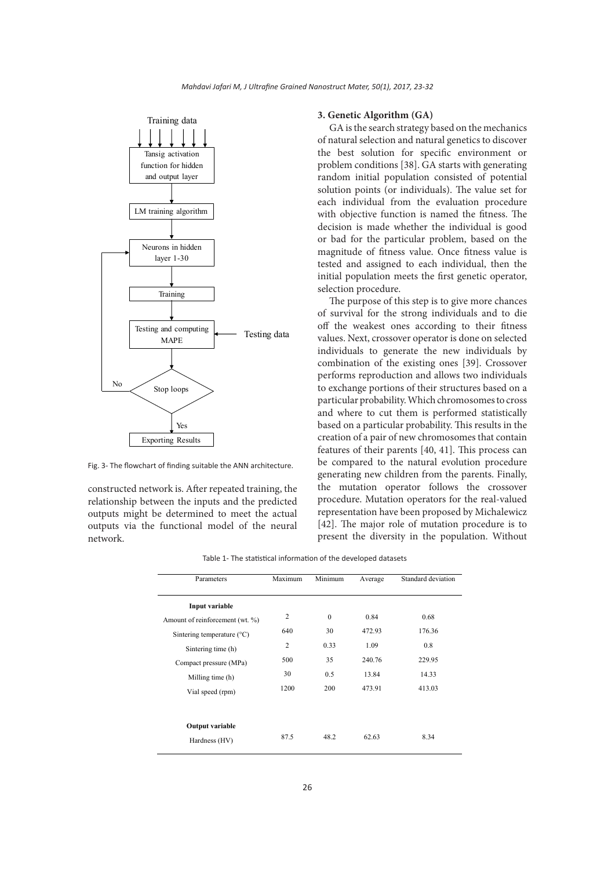

Fig. 3- The flowchart of finding suitable the ANN architecture.

constructed network is. After repeated training, the relationship between the inputs and the predicted outputs might be determined to meet the actual outputs via the functional model of the neural network.

#### **3. Genetic Algorithm (GA)**

GA is the search strategy based on the mechanics of natural selection and natural genetics to discover the best solution for specific environment or problem conditions [38]. GA starts with generating random initial population consisted of potential solution points (or individuals). The value set for each individual from the evaluation procedure with objective function is named the fitness. The decision is made whether the individual is good or bad for the particular problem, based on the magnitude of fitness value. Once fitness value is tested and assigned to each individual, then the initial population meets the first genetic operator, selection procedure.

The purpose of this step is to give more chances of survival for the strong individuals and to die off the weakest ones according to their fitness values. Next, crossover operator is done on selected individuals to generate the new individuals by combination of the existing ones [39]. Crossover performs reproduction and allows two individuals to exchange portions of their structures based on a particular probability. Which chromosomes to cross and where to cut them is performed statistically based on a particular probability. This results in the creation of a pair of new chromosomes that contain features of their parents [40, 41]. This process can be compared to the natural evolution procedure generating new children from the parents. Finally, the mutation operator follows the crossover procedure. Mutation operators for the real-valued representation have been proposed by Michalewicz [42]. The major role of mutation procedure is to present the diversity in the population. Without

| Table 1- The statistical information of the developed datasets |  |  |
|----------------------------------------------------------------|--|--|
|----------------------------------------------------------------|--|--|

| Parameters                          | Maximum        | Minimum      | Average | Standard deviation |  |
|-------------------------------------|----------------|--------------|---------|--------------------|--|
| Input variable                      |                |              |         |                    |  |
| Amount of reinforcement (wt. %)     | $\overline{c}$ | $\mathbf{0}$ | 0.84    | 0.68               |  |
| Sintering temperature $(^{\circ}C)$ | 640            | 30           | 472.93  | 176.36             |  |
| Sintering time (h)                  | $\overline{2}$ | 0.33         | 1.09    | 0.8                |  |
| Compact pressure (MPa)              | 500            | 35           | 240.76  | 229.95             |  |
| Milling time (h)                    | 30             | 0.5          | 13.84   | 14.33              |  |
| Vial speed (rpm)                    | 1200           | 200          | 473.91  | 413.03             |  |
|                                     |                |              |         |                    |  |
| <b>Output variable</b>              |                |              |         |                    |  |
| Hardness (HV)                       | 87.5           | 48.2         | 62.63   | 8.34               |  |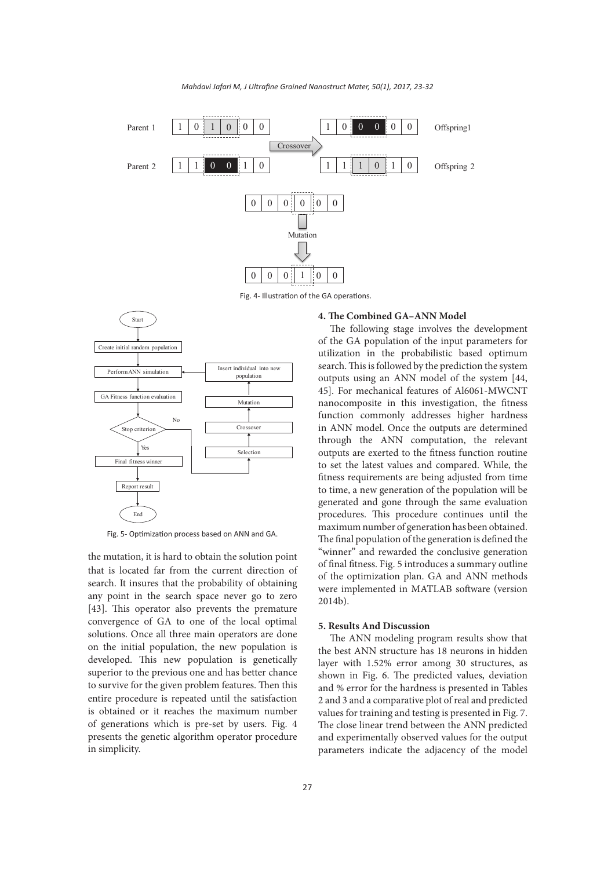

*Mahdavi Jafari M, J Ultrafine Grained Nanostruct Mater, 50(1), 2017, 23-32*

Fig. 4- Illustration of the GA operations.



Fig. 5- Optimization process based on ANN and GA.

the mutation, it is hard to obtain the solution point that is located far from the current direction of search. It insures that the probability of obtaining any point in the search space never go to zero [43]. This operator also prevents the premature convergence of GA to one of the local optimal solutions. Once all three main operators are done on the initial population, the new population is developed. This new population is genetically superior to the previous one and has better chance to survive for the given problem features. Then this entire procedure is repeated until the satisfaction is obtained or it reaches the maximum number of generations which is pre-set by users. Fig. 4 presents the genetic algorithm operator procedure in simplicity.

#### **4. The Combined GA–ANN Model**

The following stage involves the development of the GA population of the input parameters for utilization in the probabilistic based optimum search. This is followed by the prediction the system outputs using an ANN model of the system [44, 45]. For mechanical features of Al6061-MWCNT nanocomposite in this investigation, the fitness function commonly addresses higher hardness in ANN model. Once the outputs are determined through the ANN computation, the relevant outputs are exerted to the fitness function routine to set the latest values and compared. While, the fitness requirements are being adjusted from time to time, a new generation of the population will be generated and gone through the same evaluation procedures. This procedure continues until the maximum number of generation has been obtained. The final population of the generation is defined the "winner" and rewarded the conclusive generation of final fitness. Fig. 5 introduces a summary outline of the optimization plan. GA and ANN methods were implemented in MATLAB software (version 2014b).

## **5. Results And Discussion**

The ANN modeling program results show that the best ANN structure has 18 neurons in hidden layer with 1.52% error among 30 structures, as shown in Fig. 6. The predicted values, deviation and % error for the hardness is presented in Tables 2 and 3 and a comparative plot of real and predicted values for training and testing is presented in Fig. 7. The close linear trend between the ANN predicted and experimentally observed values for the output parameters indicate the adjacency of the model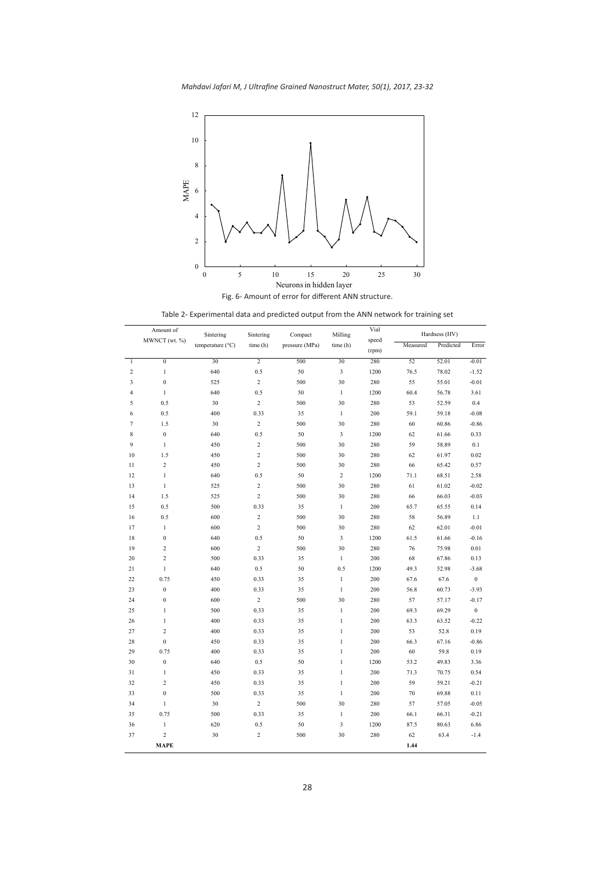*Mahdavi Jafari M, J Ultrafine Grained Nanostruct Mater, 50(1), 2017, 23-32*



Table 2- Experimental data and predicted output from the ANN network for training set

|                         | Amount of               | Sintering        | Sintering      | Compact        | Milling        | Vial           |          | Hardness (HV) |                  |
|-------------------------|-------------------------|------------------|----------------|----------------|----------------|----------------|----------|---------------|------------------|
|                         | MWNCT (wt. %)           | temperature (°C) | time (h)       | pressure (MPa) | time (h)       | speed<br>(rpm) | Measured | Predicted     | Error            |
| $\mathbf{1}$            | $\boldsymbol{0}$        | 30               | $\overline{2}$ | 500            | 30             | 280            | 52       | 52.01         | $-0.01$          |
| $\sqrt{2}$              | $\mathbf{1}$            | 640              | 0.5            | 50             | 3              | 1200           | 76.5     | 78.02         | $-1.52$          |
| 3                       | $\boldsymbol{0}$        | 525              | $\sqrt{2}$     | 500            | 30             | 280            | 55       | 55.01         | $-0.01$          |
| $\overline{\mathbf{4}}$ | $\,1$                   | 640              | 0.5            | 50             | $\mathbf{1}$   | 1200           | 60.4     | 56.78         | 3.61             |
| 5                       | 0.5                     | 30               | $\sqrt{2}$     | 500            | 30             | 280            | 53       | 52.59         | 0.4              |
| 6                       | 0.5                     | 400              | 0.33           | 35             | $\mathbf{1}$   | 200            | 59.1     | 59.18         | $-0.08$          |
| $\tau$                  | 1.5                     | 30               | $\,2$          | 500            | 30             | 280            | 60       | 60.86         | $-0.86$          |
| 8                       | $\boldsymbol{0}$        | 640              | 0.5            | 50             | 3              | 1200           | 62       | 61.66         | 0.33             |
| 9                       | $\,1\,$                 | 450              | $\sqrt{2}$     | 500            | 30             | 280            | 59       | 58.89         | 0.1              |
| 10                      | 1.5                     | 450              | $\sqrt{2}$     | 500            | 30             | 280            | 62       | 61.97         | 0.02             |
| 11                      | $\overline{c}$          | 450              | $\overline{c}$ | 500            | 30             | 280            | 66       | 65.42         | 0.57             |
| 12                      | $\mathbf{1}$            | 640              | 0.5            | 50             | $\,2$          | 1200           | 71.1     | 68.51         | 2.58             |
| 13                      | $\,1$                   | 525              | $\overline{c}$ | 500            | 30             | 280            | 61       | 61.02         | $-0.02$          |
| 14                      | 1.5                     | 525              | $\sqrt{2}$     | 500            | 30             | 280            | 66       | 66.03         | $-0.03$          |
| 15                      | 0.5                     | 500              | 0.33           | 35             | $\mathbf{1}$   | 200            | 65.7     | 65.55         | 0.14             |
| 16                      | 0.5                     | 600              | $\sqrt{2}$     | 500            | 30             | 280            | 58       | 56.89         | 1.1              |
| 17                      | $\mathbf{1}$            | 600              | $\overline{c}$ | 500            | 30             | 280            | 62       | 62.01         | $-0.01$          |
| 18                      | $\boldsymbol{0}$        | 640              | 0.5            | 50             | $\mathfrak{Z}$ | 1200           | 61.5     | 61.66         | $-0.16$          |
| 19                      | $\overline{\mathbf{c}}$ | 600              | $\overline{c}$ | 500            | 30             | 280            | 76       | 75.98         | 0.01             |
| 20                      | $\sqrt{2}$              | 500              | 0.33           | 35             | $\,1$          | 200            | 68       | 67.86         | 0.13             |
| 21                      | $\mathbf{1}$            | 640              | 0.5            | 50             | 0.5            | 1200           | 49.3     | 52.98         | $-3.68$          |
| 22                      | 0.75                    | 450              | 0.33           | 35             | $\,1$          | 200            | 67.6     | 67.6          | $\boldsymbol{0}$ |
| 23                      | $\boldsymbol{0}$        | 400              | 0.33           | 35             | $\mathbf{1}$   | 200            | 56.8     | 60.73         | $-3.93$          |
| 24                      | $\boldsymbol{0}$        | 600              | $\overline{c}$ | 500            | 30             | 280            | 57       | 57.17         | $-0.17$          |
| 25                      | $\mathbf{1}$            | 500              | 0.33           | 35             | $\mathbf{1}$   | 200            | 69.3     | 69.29         | $\boldsymbol{0}$ |
| 26                      | $\mathbf{1}$            | 400              | 0.33           | 35             | $\mathbf{1}$   | 200            | 63.3     | 63.52         | $-0.22$          |
| 27                      | $\overline{c}$          | 400              | 0.33           | 35             | $\mathbf{1}$   | 200            | 53       | 52.8          | 0.19             |
| 28                      | $\boldsymbol{0}$        | 450              | 0.33           | 35             | $\mathbf{1}$   | 200            | 66.3     | 67.16         | $-0.86$          |
| 29                      | 0.75                    | 400              | 0.33           | 35             | $\,$ 1 $\,$    | 200            | 60       | 59.8          | 0.19             |
| 30                      | $\boldsymbol{0}$        | 640              | 0.5            | 50             | $\mathbf{1}$   | 1200           | 53.2     | 49.83         | 3.36             |
| 31                      | $\,1\,$                 | 450              | 0.33           | 35             | $\mathbf{1}$   | 200            | 71.3     | 70.75         | 0.54             |
| 32                      | $\overline{c}$          | 450              | 0.33           | 35             | $\mathbf{1}$   | 200            | 59       | 59.21         | $-0.21$          |
| 33                      | $\boldsymbol{0}$        | 500              | 0.33           | 35             | $\,1$          | 200            | $70\,$   | 69.88         | 0.11             |
| 34                      | $\mathbf{1}$            | 30               | $\sqrt{2}$     | 500            | 30             | 280            | 57       | 57.05         | $-0.05$          |
| 35                      | 0.75                    | 500              | 0.33           | 35             | $\,1$          | 200            | 66.1     | 66.31         | $-0.21$          |
| 36                      | $\,1$                   | 620              | 0.5            | 50             | 3              | 1200           | 87.5     | 80.63         | 6.86             |
| 37                      | $\overline{c}$          | 30               | $\overline{c}$ | 500            | 30             | 280            | 62       | 63.4          | $-1.4$           |
|                         | <b>MAPE</b>             |                  |                |                |                |                | 1.44     |               |                  |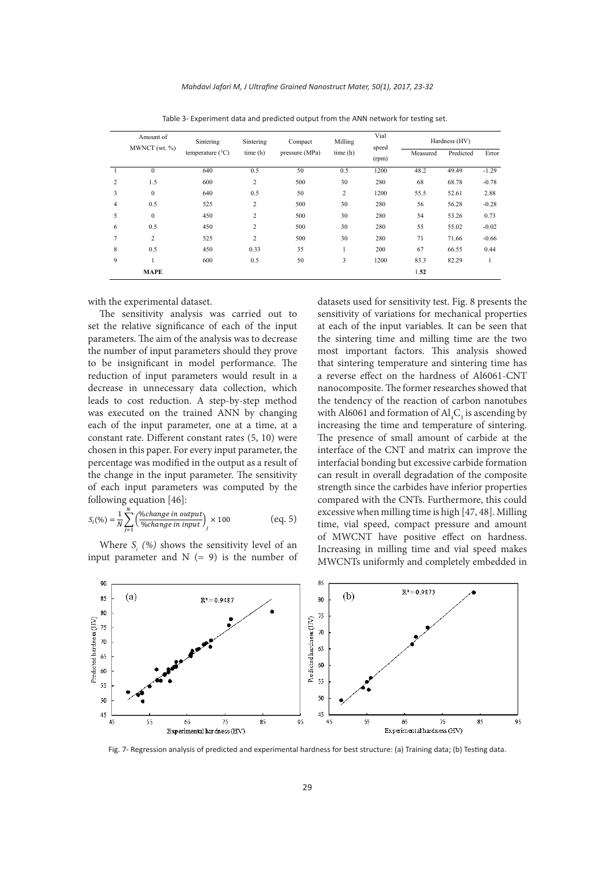|                | Amount of<br>MWNCT (wt. %) | Sintering                 | Sintering      | Compact<br>pressure (MPa) | Milling<br>time(h) | Vial<br>speed<br>(rpm) | Hardness (HV) |           |         |
|----------------|----------------------------|---------------------------|----------------|---------------------------|--------------------|------------------------|---------------|-----------|---------|
|                |                            | temperature $(^{\circ}C)$ | time(h)        |                           |                    |                        | Measured      | Predicted | Error   |
|                | $\mathbf{0}$               | 640                       | 0.5            | 50                        | 0.5                | 1200                   | 48.2          | 49.49     | $-1.29$ |
| $\overline{c}$ | 1.5                        | 600                       | $\overline{c}$ | 500                       | 30                 | 280                    | 68            | 68.78     | $-0.78$ |
| 3              | $\mathbf{0}$               | 640                       | 0.5            | 50                        | $\overline{c}$     | 1200                   | 55.5          | 52.61     | 2.88    |
| 4              | 0.5                        | 525                       | $\overline{c}$ | 500                       | 30                 | 280                    | 56            | 56.28     | $-0.28$ |
| 5              | $\mathbf{0}$               | 450                       | $\overline{c}$ | 500                       | 30                 | 280                    | 54            | 53.26     | 0.73    |
| 6              | 0.5                        | 450                       | $\overline{c}$ | 500                       | 30                 | 280                    | 55            | 55.02     | $-0.02$ |
| $\overline{7}$ | $\overline{c}$             | 525                       | $\overline{c}$ | 500                       | 30                 | 280                    | 71            | 71.66     | $-0.66$ |
| 8              | 0.5                        | 450                       | 0.33           | 35                        |                    | 200                    | 67            | 66.55     | 0.44    |
| 9              |                            | 600                       | 0.5            | 50                        | 3                  | 1200                   | 83.3          | 82.29     |         |
|                | <b>MAPE</b>                |                           |                |                           |                    |                        | 1.52          |           |         |

Table 3- Experiment data and predicted output from the ANN network for testing set.

with the experimental dataset.

The sensitivity analysis was carried out to set the relative significance of each of the input parameters. The aim of the analysis was to decrease the number of input parameters should they prove to be insignificant in model performance. The reduction of input parameters would result in a decrease in unnecessary data collection, which leads to cost reduction. A step-by-step method was executed on the trained ANN by changing each of the input parameter, one at a time, at a constant rate. Different constant rates (5, 10) were chosen in this paper. For every input parameter, the percentage was modified in the output as a result of the change in the input parameter. The sensitivity of each input parameters was computed by the following equation [46]:

$$
S_i(\%) = \frac{1}{N} \sum_{j=1}^{N} \left( \frac{\%change\ in\ output}{\%change\ in\ input} \right)_j \times 100
$$
 (eq. 5)

Where  $S_i$  (%) shows the sensitivity level of an input parameter and  $N (= 9)$  is the number of datasets used for sensitivity test. Fig. 8 presents the sensitivity of variations for mechanical properties at each of the input variables. It can be seen that the sintering time and milling time are the two most important factors. This analysis showed that sintering temperature and sintering time has a reverse effect on the hardness of Al6061-CNT nanocomposite. The former researches showed that the tendency of the reaction of carbon nanotubes with Al6061 and formation of  $\text{Al}_4\text{C}_3$  is ascending by increasing the time and temperature of sintering. The presence of small amount of carbide at the interface of the CNT and matrix can improve the interfacial bonding but excessive carbide formation can result in overall degradation of the composite strength since the carbides have inferior properties compared with the CNTs. Furthermore, this could excessive when milling time is high [47, 48]. Milling time, vial speed, compact pressure and amount of MWCNT have positive effect on hardness. Increasing in milling time and vial speed makes MWCNTs uniformly and completely embedded in



Fig. 7- Regression analysis of predicted and experimental hardness for best structure: (a) Training data; (b) Testing data.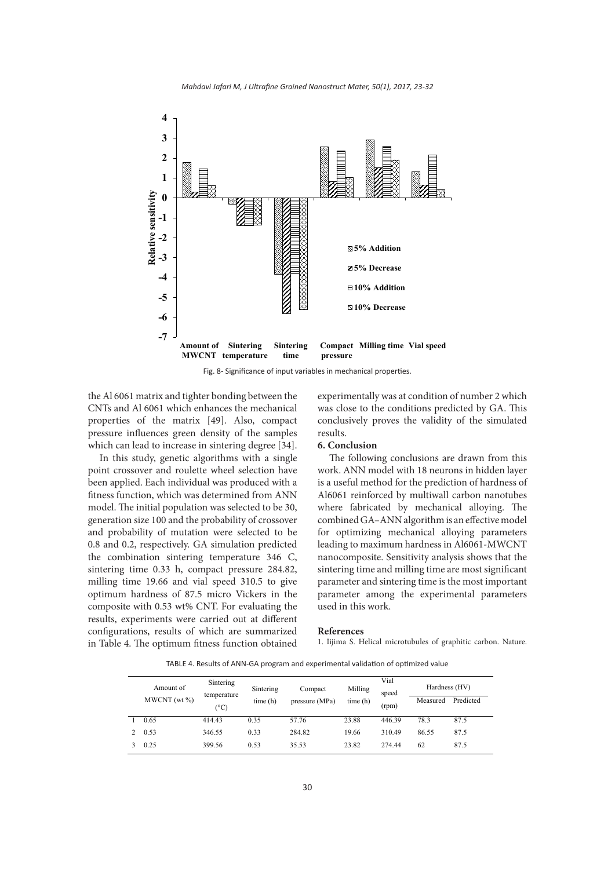

Fig. 8- Significance of input variables in mechanical properties.

the Al 6061 matrix and tighter bonding between the CNTs and Al 6061 which enhances the mechanical properties of the matrix [49]. Also, compact pressure influences green density of the samples which can lead to increase in sintering degree [34].

In this study, genetic algorithms with a single point crossover and roulette wheel selection have been applied. Each individual was produced with a fitness function, which was determined from ANN model. The initial population was selected to be 30, generation size 100 and the probability of crossover and probability of mutation were selected to be 0.8 and 0.2, respectively. GA simulation predicted the combination sintering temperature 346 C, sintering time 0.33 h, compact pressure 284.82, milling time 19.66 and vial speed 310.5 to give optimum hardness of 87.5 micro Vickers in the composite with 0.53 wt% CNT. For evaluating the results, experiments were carried out at different configurations, results of which are summarized in Table 4. The optimum fitness function obtained

experimentally was at condition of number 2 which was close to the conditions predicted by GA. This conclusively proves the validity of the simulated results.

#### **6. Conclusion**

The following conclusions are drawn from this work. ANN model with 18 neurons in hidden layer is a useful method for the prediction of hardness of Al6061 reinforced by multiwall carbon nanotubes where fabricated by mechanical alloying. The combined GA–ANN algorithm is an effective model for optimizing mechanical alloying parameters leading to maximum hardness in Al6061-MWCNT nanocomposite. Sensitivity analysis shows that the sintering time and milling time are most significant parameter and sintering time is the most important parameter among the experimental parameters used in this work.

#### **References**

1. Iijima S. Helical microtubules of graphitic carbon. Nature.

TABLE 4. Results of ANN-GA program and experimental validation of optimized value

| Amount of<br>$MWCNT$ (wt $\%$ ) | Sintering<br>temperature<br>(°C) | Sintering<br>time (h) | Compact<br>pressure (MPa) | Milling<br>time(h) | Vial<br>speed<br>(rpm) | Hardness (HV)<br>Measured | Predicted |
|---------------------------------|----------------------------------|-----------------------|---------------------------|--------------------|------------------------|---------------------------|-----------|
| 0.65                            | 414.43                           | 0.35                  | 57.76                     | 23.88              | 446.39                 | 78.3                      | 87.5      |
| 0.53                            | 346.55                           | 0.33                  | 284.82                    | 19.66              | 310.49                 | 86.55                     | 87.5      |
| 0.25                            | 399.56                           | 0.53                  | 35.53                     | 23.82              | 274.44                 | 62                        | 87.5      |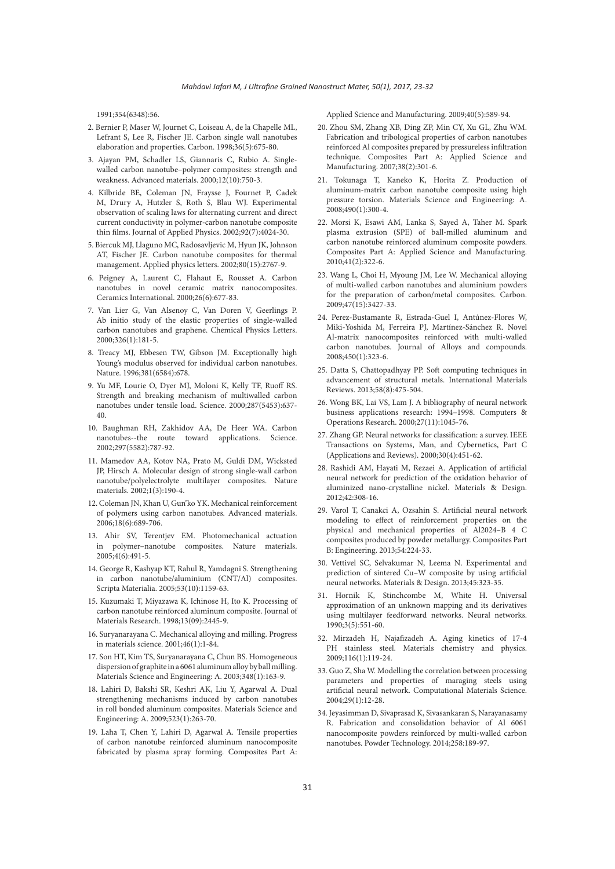1991;354(6348):56.

- 2. Bernier P, Maser W, Journet C, Loiseau A, de la Chapelle ML, Lefrant S, Lee R, Fischer JE. Carbon single wall nanotubes elaboration and properties. Carbon. 1998;36(5):675-80.
- 3. Ajayan PM, Schadler LS, Giannaris C, Rubio A. Singlewalled carbon nanotube–polymer composites: strength and weakness. Advanced materials. 2000;12(10):750-3.
- 4. Kilbride BE, Coleman JN, Fraysse J, Fournet P, Cadek M, Drury A, Hutzler S, Roth S, Blau WJ. Experimental observation of scaling laws for alternating current and direct current conductivity in polymer-carbon nanotube composite thin films. Journal of Applied Physics. 2002;92(7):4024-30.
- 5. Biercuk MJ, Llaguno MC, Radosavljevic M, Hyun JK, Johnson AT, Fischer JE. Carbon nanotube composites for thermal management. Applied physics letters. 2002;80(15):2767-9.
- 6. Peigney A, Laurent C, Flahaut E, Rousset A. Carbon nanotubes in novel ceramic matrix nanocomposites. Ceramics International. 2000;26(6):677-83.
- 7. Van Lier G, Van Alsenoy C, Van Doren V, Geerlings P. Ab initio study of the elastic properties of single-walled carbon nanotubes and graphene. Chemical Physics Letters. 2000;326(1):181-5.
- 8. Treacy MJ, Ebbesen TW, Gibson JM. Exceptionally high Young's modulus observed for individual carbon nanotubes. Nature. 1996;381(6584):678.
- 9. Yu MF, Lourie O, Dyer MJ, Moloni K, Kelly TF, Ruoff RS. Strength and breaking mechanism of multiwalled carbon nanotubes under tensile load. Science. 2000;287(5453):637- 40.
- 10. Baughman RH, Zakhidov AA, De Heer WA. Carbon nanotubes--the route toward applications. Science. 2002;297(5582):787-92.
- 11. Mamedov AA, Kotov NA, Prato M, Guldi DM, Wicksted JP, Hirsch A. Molecular design of strong single-wall carbon nanotube/polyelectrolyte multilayer composites. Nature materials. 2002;1(3):190-4.
- 12. Coleman JN, Khan U, Gun'ko YK. Mechanical reinforcement of polymers using carbon nanotubes. Advanced materials. 2006;18(6):689-706.
- 13. Ahir SV, Terentjev EM. Photomechanical actuation in polymer–nanotube composites. Nature materials. 2005;4(6):491-5.
- 14. George R, Kashyap KT, Rahul R, Yamdagni S. Strengthening in carbon nanotube/aluminium (CNT/Al) composites. Scripta Materialia. 2005;53(10):1159-63.
- 15. Kuzumaki T, Miyazawa K, Ichinose H, Ito K. Processing of carbon nanotube reinforced aluminum composite. Journal of Materials Research. 1998;13(09):2445-9.
- 16. Suryanarayana C. Mechanical alloying and milling. Progress in materials science. 2001;46(1):1-84.
- 17. Son HT, Kim TS, Suryanarayana C, Chun BS. Homogeneous dispersion of graphite in a 6061 aluminum alloy by ball milling. Materials Science and Engineering: A. 2003;348(1):163-9.
- 18. Lahiri D, Bakshi SR, Keshri AK, Liu Y, Agarwal A. Dual strengthening mechanisms induced by carbon nanotubes in roll bonded aluminum composites. Materials Science and Engineering: A. 2009;523(1):263-70.
- 19. Laha T, Chen Y, Lahiri D, Agarwal A. Tensile properties of carbon nanotube reinforced aluminum nanocomposite fabricated by plasma spray forming. Composites Part A:

Applied Science and Manufacturing. 2009;40(5):589-94.

- 20. Zhou SM, Zhang XB, Ding ZP, Min CY, Xu GL, Zhu WM. Fabrication and tribological properties of carbon nanotubes reinforced Al composites prepared by pressureless infiltration technique. Composites Part A: Applied Science and Manufacturing. 2007;38(2):301-6.
- 21. Tokunaga T, Kaneko K, Horita Z. Production of aluminum-matrix carbon nanotube composite using high pressure torsion. Materials Science and Engineering: A. 2008;490(1):300-4.
- 22. Morsi K, Esawi AM, Lanka S, Sayed A, Taher M. Spark plasma extrusion (SPE) of ball-milled aluminum and carbon nanotube reinforced aluminum composite powders. Composites Part A: Applied Science and Manufacturing. 2010;41(2):322-6.
- 23. Wang L, Choi H, Myoung JM, Lee W. Mechanical alloying of multi-walled carbon nanotubes and aluminium powders for the preparation of carbon/metal composites. Carbon. 2009;47(15):3427-33.
- 24. Perez-Bustamante R, Estrada-Guel I, Antúnez-Flores W, Miki-Yoshida M, Ferreira PJ, Martínez-Sánchez R. Novel Al-matrix nanocomposites reinforced with multi-walled carbon nanotubes. Journal of Alloys and compounds. 2008;450(1):323-6.
- 25. Datta S, Chattopadhyay PP. Soft computing techniques in advancement of structural metals. International Materials Reviews. 2013;58(8):475-504.
- 26. Wong BK, Lai VS, Lam J. A bibliography of neural network business applications research: 1994–1998. Computers & Operations Research. 2000;27(11):1045-76.
- 27. Zhang GP. Neural networks for classification: a survey. IEEE Transactions on Systems, Man, and Cybernetics, Part C (Applications and Reviews). 2000;30(4):451-62.
- 28. Rashidi AM, Hayati M, Rezaei A. Application of artificial neural network for prediction of the oxidation behavior of aluminized nano-crystalline nickel. Materials & Design. 2012;42:308-16.
- 29. Varol T, Canakci A, Ozsahin S. Artificial neural network modeling to effect of reinforcement properties on the physical and mechanical properties of Al2024–B 4 C composites produced by powder metallurgy. Composites Part B: Engineering. 2013;54:224-33.
- 30. Vettivel SC, Selvakumar N, Leema N. Experimental and prediction of sintered Cu–W composite by using artificial neural networks. Materials & Design. 2013;45:323-35.
- 31. Hornik K, Stinchcombe M, White H. Universal approximation of an unknown mapping and its derivatives using multilayer feedforward networks. Neural networks. 1990;3(5):551-60.
- 32. Mirzadeh H, Najafizadeh A. Aging kinetics of 17-4 PH stainless steel. Materials chemistry and physics. 2009;116(1):119-24.
- 33. Guo Z, Sha W. Modelling the correlation between processing parameters and properties of maraging steels using artificial neural network. Computational Materials Science. 2004;29(1):12-28.
- 34. Jeyasimman D, Sivaprasad K, Sivasankaran S, Narayanasamy R. Fabrication and consolidation behavior of Al 6061 nanocomposite powders reinforced by multi-walled carbon nanotubes. Powder Technology. 2014;258:189-97.